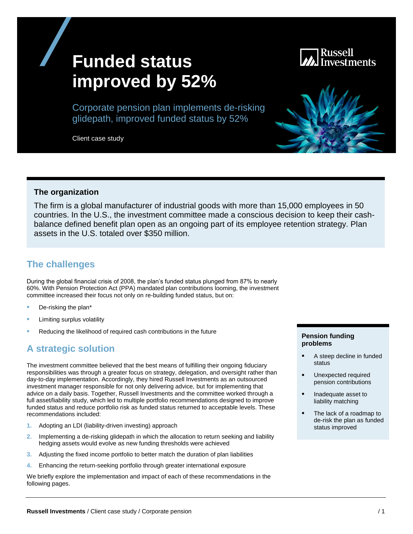# **Funded status improved by 52%**

Russell

Corporate pension plan implements de-risking glidepath, improved funded status by 52%

Client case study

#### **The organization**

The firm is a global manufacturer of industrial goods with more than 15,000 employees in 50 countries. In the U.S., the investment committee made a conscious decision to keep their cashbalance defined benefit plan open as an ongoing part of its employee retention strategy. Plan assets in the U.S. totaled over \$350 million.

## **The challenges**

During the global financial crisis of 2008, the plan's funded status plunged from 87% to nearly 60%. With Pension Protection Act (PPA) mandated plan contributions looming, the investment committee increased their focus not only on re-building funded status, but on:

- De-risking the plan\*
- Limiting surplus volatility
- Reducing the likelihood of required cash contributions in the future

# **A strategic solution**

The investment committee believed that the best means of fulfilling their ongoing fiduciary responsibilities was through a greater focus on strategy, delegation, and oversight rather than day-to-day implementation. Accordingly, they hired Russell Investments as an outsourced investment manager responsible for not only delivering advice, but for implementing that advice on a daily basis. Together, Russell Investments and the committee worked through a full asset/liability study, which led to multiple portfolio recommendations designed to improve funded status and reduce portfolio risk as funded status returned to acceptable levels. These recommendations included:

- **1.** Adopting an LDI (liability-driven investing) approach
- **2.** Implementing a de-risking glidepath in which the allocation to return seeking and liability hedging assets would evolve as new funding thresholds were achieved
- **3.** Adjusting the fixed income portfolio to better match the duration of plan liabilities
- **4.** Enhancing the return-seeking portfolio through greater international exposure

We briefly explore the implementation and impact of each of these recommendations in the following pages.

#### **Pension funding problems**

- A steep decline in funded status
- Unexpected required pension contributions
- Inadequate asset to liability matching
- The lack of a roadmap to de-risk the plan as funded status improved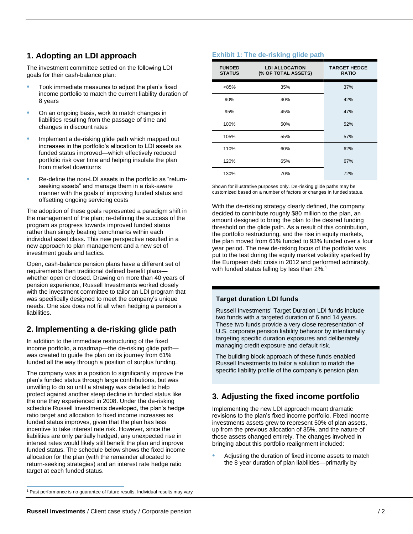## **1. Adopting an LDI approach**

The investment committee settled on the following LDI goals for their cash-balance plan:

- Took immediate measures to adjust the plan's fixed income portfolio to match the current liability duration of 8 years
- On an ongoing basis, work to match changes in liabilities resulting from the passage of time and changes in discount rates
- Implement a de-risking glide path which mapped out increases in the portfolio's allocation to LDI assets as funded status improved—which effectively reduced portfolio risk over time and helping insulate the plan from market downturns
- Re-define the non-LDI assets in the portfolio as "returnseeking assets" and manage them in a risk-aware manner with the goals of improving funded status and offsetting ongoing servicing costs

The adoption of these goals represented a paradigm shift in the management of the plan; re-defining the success of the program as progress towards improved funded status rather than simply beating benchmarks within each individual asset class. This new perspective resulted in a new approach to plan management and a new set of investment goals and tactics.

Open, cash-balance pension plans have a different set of requirements than traditional defined benefit plans whether open or closed. Drawing on more than 40 years of pension experience, Russell Investments worked closely with the investment committee to tailor an LDI program that was specifically designed to meet the company's unique needs. One size does not fit all when hedging a pension's liabilities.

## **2. Implementing a de-risking glide path**

In addition to the immediate restructuring of the fixed income portfolio, a roadmap—the de-risking glide path was created to guide the plan on its journey from 61% funded all the way through a position of surplus funding.

The company was in a position to significantly improve the plan's funded status through large contributions, but was unwilling to do so until a strategy was detailed to help protect against another steep decline in funded status like the one they experienced in 2008. Under the de-risking schedule Russell Investments developed, the plan's hedge ratio target and allocation to fixed income increases as funded status improves, given that the plan has less incentive to take interest rate risk. However, since the liabilities are only partially hedged, any unexpected rise in interest rates would likely still benefit the plan and improve funded status. The schedule below shows the fixed income allocation for the plan (with the remainder allocated to return-seeking strategies) and an interest rate hedge ratio target at each funded status.

#### **Exhibit 1: The de-risking glide path**

| <b>FUNDED</b><br><b>STATUS</b> | <b>LDI ALLOCATION</b><br>(% OF TOTAL ASSETS) | <b>TARGET HEDGE</b><br><b>RATIO</b> |
|--------------------------------|----------------------------------------------|-------------------------------------|
| < 85%                          | 35%                                          | 37%                                 |
| 90%                            | 40%                                          | 42%                                 |
| 95%                            | 45%                                          | 47%                                 |
| 100%                           | 50%                                          | 52%                                 |
| 105%                           | 55%                                          | 57%                                 |
| 110%                           | 60%                                          | 62%                                 |
| 120%                           | 65%                                          | 67%                                 |
| 130%                           | 70%                                          | 72%                                 |

Shown for illustrative purposes only. De-risking glide paths may be customized based on a number of factors or changes in funded status.

With the de-risking strategy clearly defined, the company decided to contribute roughly \$80 million to the plan, an amount designed to bring the plan to the desired funding threshold on the glide path. As a result of this contribution, the portfolio restructuring, and the rise in equity markets, the plan moved from 61% funded to 93% funded over a four year period. The new de-risking focus of the portfolio was put to the test during the equity market volatility sparked by the European debt crisis in 2012 and performed admirably, with funded status falling by less than 2%.<sup>1</sup>

#### **Target duration LDI funds**

Russell Investments' Target Duration LDI funds include two funds with a targeted duration of 6 and 14 years. These two funds provide a very close representation of U.S. corporate pension liability behavior by intentionally targeting specific duration exposures and deliberately managing credit exposure and default risk.

The building block approach of these funds enabled Russell Investments to tailor a solution to match the specific liability profile of the company's pension plan.

# **3. Adjusting the fixed income portfolio**

Implementing the new LDI approach meant dramatic revisions to the plan's fixed income portfolio. Fixed income investments assets grew to represent 50% of plan assets, up from the previous allocation of 35%, and the nature of those assets changed entirely. The changes involved in bringing about this portfolio realignment included:

• Adjusting the duration of fixed income assets to match the 8 year duration of plan liabilities—primarily by

 $\overline{a}$ 

<sup>&</sup>lt;sup>1</sup> Past performance is no guarantee of future results. Individual results may vary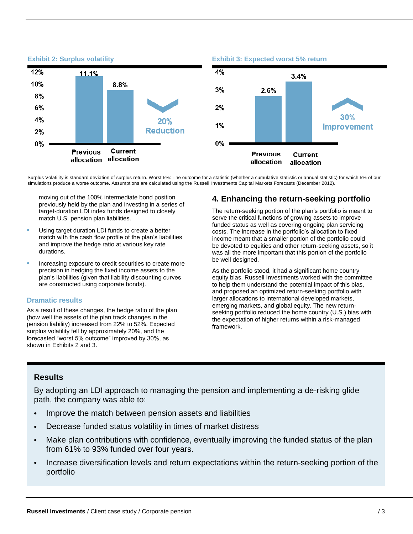

Surplus Volatility is standard deviation of surplus return. Worst 5%: The outcome for a statistic (whether a cumulative stati stic or annual statistic) for which 5% of our simulations produce a worse outcome. Assumptions are calculated using the Russell Investments Capital Markets Forecasts (December 2012).

moving out of the 100% intermediate bond position previously held by the plan and investing in a series of target-duration LDI index funds designed to closely match U.S. pension plan liabilities.

- Using target duration LDI funds to create a better match with the cash flow profile of the plan's liabilities and improve the hedge ratio at various key rate durations.
- Increasing exposure to credit securities to create more precision in hedging the fixed income assets to the plan's liabilities (given that liability discounting curves are constructed using corporate bonds).

#### **Dramatic results**

As a result of these changes, the hedge ratio of the plan (how well the assets of the plan track changes in the pension liability) increased from 22% to 52%. Expected surplus volatility fell by approximately 20%, and the forecasted "worst 5% outcome" improved by 30%, as shown in Exhibits 2 and 3.

### **4. Enhancing the return-seeking portfolio**

The return-seeking portion of the plan's portfolio is meant to serve the critical functions of growing assets to improve funded status as well as covering ongoing plan servicing costs. The increase in the portfolio's allocation to fixed income meant that a smaller portion of the portfolio could be devoted to equities and other return-seeking assets, so it was all the more important that this portion of the portfolio be well designed.

As the portfolio stood, it had a significant home country equity bias. Russell Investments worked with the committee to help them understand the potential impact of this bias, and proposed an optimized return-seeking portfolio with larger allocations to international developed markets, emerging markets, and global equity. The new returnseeking portfolio reduced the home country (U.S.) bias with the expectation of higher returns within a risk-managed framework.

#### **Results**

By adopting an LDI approach to managing the pension and implementing a de-risking glide path, the company was able to:

- Improve the match between pension assets and liabilities
- Decrease funded status volatility in times of market distress
- Make plan contributions with confidence, eventually improving the funded status of the plan from 61% to 93% funded over four years.
- Increase diversification levels and return expectations within the return-seeking portion of the portfolio